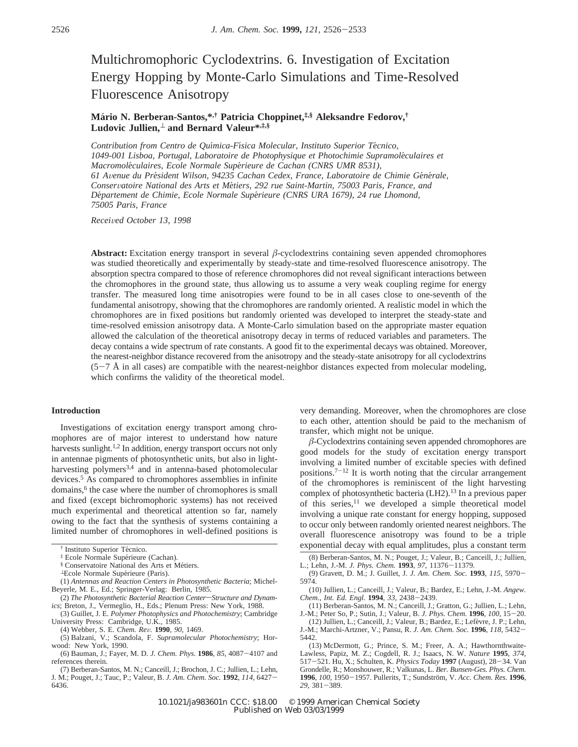# Multichromophoric Cyclodextrins. 6. Investigation of Excitation Energy Hopping by Monte-Carlo Simulations and Time-Resolved Fluorescence Anisotropy

# **Ma**´**rio N. Berberan-Santos,\*,† Patricia Choppinet,‡,§ Aleksandre Fedorov,† Ludovic Jullien,**<sup>⊥</sup> **and Bernard Valeur\*,‡,§**

*Contribution from Centro de Quı*´*mica-Fı*´*sica Molecular, Instituto Superior Te*´*cnico, 1049-001 Lisboa, Portugal, Laboratoire de Photophysique et Photochimie Supramole*´*culaires et Macromole*´*culaires, Ecole Normale Supe*´*rieure de Cachan (CNRS UMR 8531), 61 A*V*enue du Pre*´*sident Wilson, 94235 Cachan Cedex, France, Laboratoire de Chimie Ge*´*ne*´*rale, Conser*V*atoire National des Arts et Me*´*tiers, 292 rue Saint-Martin, 75003 Paris, France, and De*´*partement de Chimie, Ecole Normale Supe*´*rieure (CNRS URA 1679), 24 rue Lhomond, 75005 Paris, France*

*Recei*V*ed October 13, 1998*

**Abstract:** Excitation energy transport in several *â*-cyclodextrins containing seven appended chromophores was studied theoretically and experimentally by steady-state and time-resolved fluorescence anisotropy. The absorption spectra compared to those of reference chromophores did not reveal significant interactions between the chromophores in the ground state, thus allowing us to assume a very weak coupling regime for energy transfer. The measured long time anisotropies were found to be in all cases close to one-seventh of the fundamental anisotropy, showing that the chromophores are randomly oriented. A realistic model in which the chromophores are in fixed positions but randomly oriented was developed to interpret the steady-state and time-resolved emission anisotropy data. A Monte-Carlo simulation based on the appropriate master equation allowed the calculation of the theoretical anisotropy decay in terms of reduced variables and parameters. The decay contains a wide spectrum of rate constants. A good fit to the experimental decays was obtained. Moreover, the nearest-neighbor distance recovered from the anisotropy and the steady-state anisotropy for all cyclodextrins  $(5-7 \text{ Å} \text{ in all cases})$  are compatible with the nearest-neighbor distances expected from molecular modeling, which confirms the validity of the theoretical model.

#### **Introduction**

Investigations of excitation energy transport among chromophores are of major interest to understand how nature harvests sunlight.<sup>1,2</sup> In addition, energy transport occurs not only in antennae pigments of photosynthetic units, but also in lightharvesting polymers<sup>3,4</sup> and in antenna-based photomolecular devices.5 As compared to chromophores assemblies in infinite domains,<sup>6</sup> the case where the number of chromophores is small and fixed (except bichromophoric systems) has not received much experimental and theoretical attention so far, namely owing to the fact that the synthesis of systems containing a limited number of chromophores in well-defined positions is

very demanding. Moreover, when the chromophores are close to each other, attention should be paid to the mechanism of transfer, which might not be unique.

*â*-Cyclodextrins containing seven appended chromophores are good models for the study of excitation energy transport involving a limited number of excitable species with defined positions.<sup> $7-12$ </sup> It is worth noting that the circular arrangement of the chromophores is reminiscent of the light harvesting complex of photosynthetic bacteria (LH2).<sup>13</sup> In a previous paper of this series, $11$  we developed a simple theoretical model involving a unique rate constant for energy hopping, supposed to occur only between randomly oriented nearest neighbors. The overall fluorescence anisotropy was found to be a triple **Exponential decay with equal amplitudes, plus a constant term Instituto Superior Técnico.** 

<sup>&</sup>lt;sup>‡</sup> Ecole Normale Supérieure (Cachan).

<sup>§</sup> Conservatoire National des Arts et Métiers. ⊥Ecole Normale Supérieure (Paris).

<sup>(1)</sup> *Antennas and Reaction Centers in Photosynthetic Bacteria*; Michel-Beyerle, M. E., Ed.; Springer-Verlag: Berlin, 1985.

<sup>(2)</sup> The Photosynthetic Bacterial Reaction Center-Structure and Dynam*ics*; Breton, J., Vermeglio, H., Eds.; Plenum Press: New York, 1988.

<sup>(3)</sup> Guillet, J. E. *Polymer Photophysics and Photochemistry*; Cambridge University Press: Cambridge, U.K., 1985.

<sup>(4)</sup> Webber, S. E. *Chem. Re*V*.* **<sup>1990</sup>**, *<sup>90</sup>*, 1469.

<sup>(5)</sup> Balzani, V.; Scandola, F. *Supramolecular Photochemistry*; Horwood: New York, 1990.

<sup>(6)</sup> Bauman, J.; Fayer, M. D. *J. Chem. Phys.* **<sup>1986</sup>**, *<sup>85</sup>*, 4087-4107 and references therein.

<sup>(7)</sup> Berberan-Santos, M. N.; Canceill, J.; Brochon, J. C.; Jullien, L.; Lehn, J. M.; Pouget, J.; Tauc, P.; Valeur, B. *J. Am. Chem. Soc.* **<sup>1992</sup>**, *<sup>114</sup>*, 6427- 6436.

<sup>(8)</sup> Berberan-Santos, M. N.; Pouget, J.; Valeur, B.; Canceill, J.; Jullien, L.; Lehn, J.-M. J. Phys. Chem. 1993, 97, 11376–11379. L.; Lehn, J.-M. *J. Phys. Chem.* **<sup>1993</sup>**, *<sup>97</sup>*, 11376-11379.

<sup>(9)</sup> Gravett, D. M.; J. Guillet, J. *J. Am. Chem. Soc.* **<sup>1993</sup>**, *<sup>115</sup>*, 5970- 5974.

<sup>(10)</sup> Jullien, L.; Canceill, J.; Valeur, B.; Bardez, E.; Lehn, J.-M. *Angew. Chem., Int. Ed. Engl.* **<sup>1994</sup>**, *<sup>33</sup>*, 2438-2439.

<sup>(11)</sup> Berberan-Santos, M. N.; Canceill, J.; Gratton, G.; Jullien, L.; Lehn, J.-M.; Peter So, P.; Sutin, J.; Valeur, B. *J. Phys. Chem.* **<sup>1996</sup>**, *<sup>100</sup>*, 15-20.

<sup>(12)</sup> Jullien, L.; Canceill, J.; Valeur, B.; Bardez, E.; Lefèvre, J. P.; Lehn, J.-M.; Marchi-Artzner, V.; Pansu, R. *J. Am. Chem. Soc.* **<sup>1996</sup>**, *<sup>118</sup>*, 5432- 5442.

<sup>(13)</sup> McDermott, G.; Prince, S. M.; Freer, A. A.; Hawthornthwaite-Lawless, Papiz, M. Z.; Cogdell, R. J.; Isaacs, N. W. *Nature* **1995**, *374*, <sup>517</sup>-521. Hu, X.; Schulten, K. *Physics Today* **<sup>1997</sup>** (August), 28-34. Van Grondelle, R.; Monshouwer, R.; Valkunas, L. *Ber. Bunsen-Ges. Phys. Chem.* **<sup>1996</sup>**, *<sup>100</sup>*, 1950-1957. Pullerits, T.; Sundstro¨m, V. *Acc. Chem. Res.* **<sup>1996</sup>**, *<sup>29</sup>*, 381-389.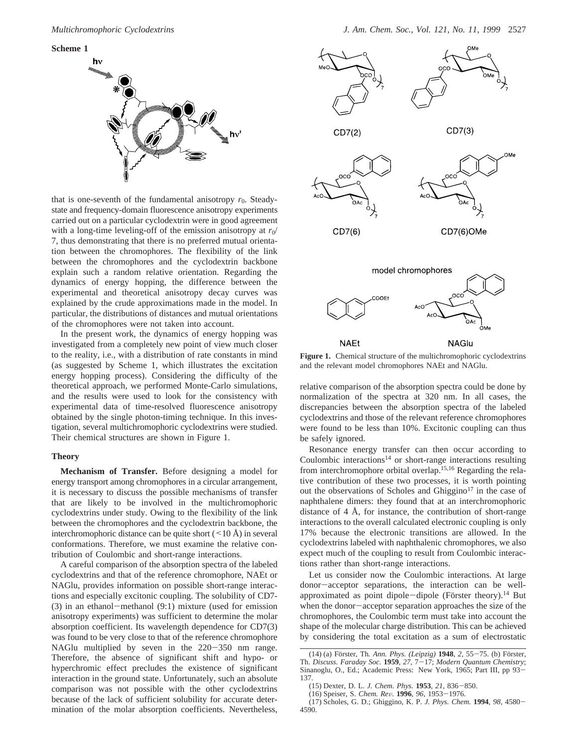**Scheme 1**



that is one-seventh of the fundamental anisotropy  $r_0$ . Steadystate and frequency-domain fluorescence anisotropy experiments carried out on a particular cyclodextrin were in good agreement with a long-time leveling-off of the emission anisotropy at  $r_0$ 7, thus demonstrating that there is no preferred mutual orientation between the chromophores. The flexibility of the link between the chromophores and the cyclodextrin backbone explain such a random relative orientation. Regarding the dynamics of energy hopping, the difference between the experimental and theoretical anisotropy decay curves was explained by the crude approximations made in the model. In particular, the distributions of distances and mutual orientations of the chromophores were not taken into account.

In the present work, the dynamics of energy hopping was investigated from a completely new point of view much closer to the reality, i.e., with a distribution of rate constants in mind (as suggested by Scheme 1, which illustrates the excitation energy hopping process). Considering the difficulty of the theoretical approach, we performed Monte-Carlo simulations, and the results were used to look for the consistency with experimental data of time-resolved fluorescence anisotropy obtained by the single photon-timing technique. In this investigation, several multichromophoric cyclodextrins were studied. Their chemical structures are shown in Figure 1.

### **Theory**

**Mechanism of Transfer.** Before designing a model for energy transport among chromophores in a circular arrangement, it is necessary to discuss the possible mechanisms of transfer that are likely to be involved in the multichromophoric cyclodextrins under study. Owing to the flexibility of the link between the chromophores and the cyclodextrin backbone, the interchromophoric distance can be quite short (<10 Å) in several conformations. Therefore, we must examine the relative contribution of Coulombic and short-range interactions.

A careful comparison of the absorption spectra of the labeled cyclodextrins and that of the reference chromophore, NAEt or NAGlu, provides information on possible short-range interactions and especially excitonic coupling. The solubility of CD7- (3) in an ethanol-methanol (9:1) mixture (used for emission anisotropy experiments) was sufficient to determine the molar absorption coefficient. Its wavelength dependence for CD7(3) was found to be very close to that of the reference chromophore NAGlu multiplied by seven in the 220-350 nm range. Therefore, the absence of significant shift and hypo- or hyperchromic effect precludes the existence of significant interaction in the ground state. Unfortunately, such an absolute comparison was not possible with the other cyclodextrins because of the lack of sufficient solubility for accurate determination of the molar absorption coefficients. Nevertheless,



Figure 1. Chemical structure of the multichromophoric cyclodextrins and the relevant model chromophores NAEt and NAGlu.

relative comparison of the absorption spectra could be done by normalization of the spectra at 320 nm. In all cases, the discrepancies between the absorption spectra of the labeled cyclodextrins and those of the relevant reference chromophores were found to be less than 10%. Excitonic coupling can thus be safely ignored.

Resonance energy transfer can then occur according to Coulombic interactions<sup>14</sup> or short-range interactions resulting from interchromophore orbital overlap.15,16 Regarding the relative contribution of these two processes, it is worth pointing out the observations of Scholes and Ghiggino<sup>17</sup> in the case of naphthalene dimers: they found that at an interchromophoric distance of 4 Å, for instance, the contribution of short-range interactions to the overall calculated electronic coupling is only 17% because the electronic transitions are allowed. In the cyclodextrins labeled with naphthalenic chromophores, we also expect much of the coupling to result from Coulombic interactions rather than short-range interactions.

Let us consider now the Coulombic interactions. At large donor-acceptor separations, the interaction can be wellapproximated as point dipole-dipole (Förster theory).<sup>14</sup> But when the donor-acceptor separation approaches the size of the chromophores, the Coulombic term must take into account the shape of the molecular charge distribution. This can be achieved by considering the total excitation as a sum of electrostatic

<sup>(14) (</sup>a) Förster, Th. Ann. Phys. (Leipzig) **1948**, 2, 55-75. (b) Förster, Th. Discuss. Faraday Soc. **1959**, 27, 7-17; Modern Quantum Chemistry; Th. *Discuss. Faraday Soc.* **<sup>1959</sup>**, *<sup>27</sup>*, 7-17; *Modern Quantum Chemistry*; Sinanoglu, O., Ed.; Academic Press: New York, 1965; Part III, pp 93- 137.

<sup>(15)</sup> Dexter, D. L. *J. Chem. Phys.* **<sup>1953</sup>**, *<sup>21</sup>*, 836-850.

<sup>(16)</sup> Speiser, S. *Chem. Re*V*.* **<sup>1996</sup>**, *<sup>96</sup>*, 1953-1976.

<sup>(17)</sup> Scholes, G. D.; Ghiggino, K. P. *J. Phys. Chem.* **<sup>1994</sup>**, *<sup>98</sup>*, 4580- 4590.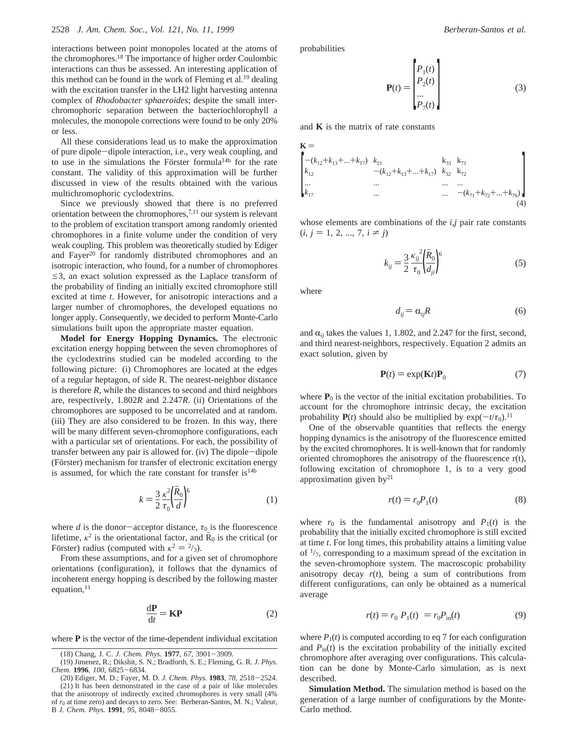interactions between point monopoles located at the atoms of the chromophores.18 The importance of higher order Coulombic interactions can thus be assessed. An interesting application of this method can be found in the work of Fleming et al.19 dealing with the excitation transfer in the LH2 light harvesting antenna complex of *Rhodobacter sphaeroides*; despite the small interchromophoric separation between the bacteriochlorophyll a molecules, the monopole corrections were found to be only 20% or less.

All these considerations lead us to make the approximation of pure dipole-dipole interaction, i.e., very weak coupling, and to use in the simulations the Förster formula<sup>14b</sup> for the rate constant. The validity of this approximation will be further discussed in view of the results obtained with the various multichromophoric cyclodextrins.

Since we previously showed that there is no preferred orientation between the chromophores, $7,11$  our system is relevant to the problem of excitation transport among randomly oriented chromophores in a finite volume under the condition of very weak coupling. This problem was theoretically studied by Ediger and Fayer20 for randomly distributed chromophores and an isotropic interaction, who found, for a number of chromophores  $\leq$ 3, an exact solution expressed as the Laplace transform of the probability of finding an initially excited chromophore still excited at time *t*. However, for anisotropic interactions and a larger number of chromophores, the developed equations no longer apply. Consequently, we decided to perform Monte-Carlo simulations built upon the appropriate master equation.

**Model for Energy Hopping Dynamics.** The electronic excitation energy hopping between the seven chromophores of the cyclodextrins studied can be modeled according to the following picture: (i) Chromophores are located at the edges of a regular heptagon, of side R. The nearest-neighbor distance is therefore *R*, while the distances to second and third neighbors are, respectively, 1.802*R* and 2.247*R*. (ii) Orientations of the chromophores are supposed to be uncorrelated and at random. (iii) They are also considered to be frozen. In this way, there will be many different seven-chromophore configurations, each with a particular set of orientations. For each, the possibility of transfer between any pair is allowed for. (iv) The dipole-dipole (Förster) mechanism for transfer of electronic excitation energy is assumed, for which the rate constant for transfer  $is^{14b}$ 

$$
k = \frac{3}{2} \frac{\kappa^2}{\tau_0} \left(\frac{R_0}{d}\right)^6 \tag{1}
$$

where *d* is the donor-acceptor distance,  $\tau_0$  is the fluorescence lifetime,  $\kappa^2$  is the orientational factor, and  $R_0$  is the critical (or Förster) radius (computed with  $\kappa^2 = \frac{2}{3}$ ).

From these assumptions, and for a given set of chromophore orientations (configuration), it follows that the dynamics of incoherent energy hopping is described by the following master equation, $^{11}$ 

$$
\frac{\text{dP}}{\text{d}t} = \text{KP} \tag{2}
$$

where **P** is the vector of the time-dependent individual excitation

probabilities

$$
\mathbf{P}(t) = \begin{bmatrix} P_1(t) \\ P_2(t) \\ \dots \\ P_7(t) \end{bmatrix}
$$
 (3)

and **K** is the matrix of rate constants

$$
\mathbf{K} = \begin{bmatrix}\n-(k_{12} + k_{13} + ... + k_{17}) & k_{21} & k_{31} & k_{71} \\
k_{12} & -(k_{12} + k_{13} + ... + k_{17}) & k_{32} & k_{72} \\
... & ... & ... & ... \\
k_{17} & ... & ... & -(k_{71} + k_{72} + ... + k_{76})\n\end{bmatrix}
$$

whose elements are combinations of the *i*,*j* pair rate constants  $(i, j = 1, 2, ..., 7, i \neq j)$ 

$$
k_{ij} = \frac{3}{2} \frac{\kappa_{ij}^2}{\tau_0} \left(\frac{\bar{R}_0}{d_{ji}}\right)^6
$$
 (5)

where

$$
d_{ij} = \alpha_{ij} R \tag{6}
$$

and  $\alpha_{ii}$  takes the values 1, 1.802, and 2.247 for the first, second, and third nearest-neighbors, respectively. Equation 2 admits an exact solution, given by

$$
\mathbf{P}(t) = \exp(\mathbf{K}t)\mathbf{P}_0
$$
 (7)

where  $P_0$  is the vector of the initial excitation probabilities. To account for the chromophore intrinsic decay, the excitation probability  $P(t)$  should also be multiplied by  $exp(-t/\tau_0)$ .<sup>11</sup>

One of the observable quantities that reflects the energy hopping dynamics is the anisotropy of the fluorescence emitted by the excited chromophores. It is well-known that for randomly oriented chromophores the anisotropy of the fluorescence r(t), following excitation of chromophore 1, is to a very good approximation given  $by<sup>21</sup>$ 

$$
r(t) = r_0 P_1(t) \tag{8}
$$

where  $r_0$  is the fundamental anisotropy and  $P_1(t)$  is the probability that the initially excited chromophore is still excited at time *t*. For long times, this probability attains a limiting value of  $\frac{1}{7}$ , corresponding to a maximum spread of the excitation in the seven-chromophore system. The macroscopic probability anisotropy decay  $r(t)$ , being a sum of contributions from different configurations, can only be obtained as a numerical average

$$
r(t) = r_0 \langle P_1(t) \rangle = r_0 P_{\text{in}}(t)
$$
\n(9)

where  $P_1(t)$  is computed according to eq 7 for each configuration and  $P_{\text{in}}(t)$  is the excitation probability of the initially excited chromophore after averaging over configurations. This calculation can be done by Monte-Carlo simulation, as is next described.

**Simulation Method.** The simulation method is based on the generation of a large number of configurations by the Monte-Carlo method.

<sup>(18)</sup> Chang, J. C. *J. Chem. Phys.* **<sup>1977</sup>**, *<sup>67</sup>*, 3901-3909.

<sup>(19)</sup> Jimenez, R.; Dikshit, S. N.; Bradforth, S. E.; Fleming, G. R. *J. Phys. Chem.* **<sup>1996</sup>**, *<sup>100</sup>*, 6825-6834.

<sup>(20)</sup> Ediger, M. D.; Fayer, M. D. *J. Chem. Phys.* **<sup>1983</sup>**, *<sup>78</sup>*, 2518-2524. (21) It has been demonstrated in the case of a pair of like molecules that the anisotropy of indirectly excited chromophores is very small (4% of  $r_0$  at time zero) and decays to zero. See: Berberan-Santos, M. N.; Valeur, <sup>B</sup> *J. Chem. Phys.* **<sup>1991</sup>**, *<sup>95</sup>*, 8048-8055.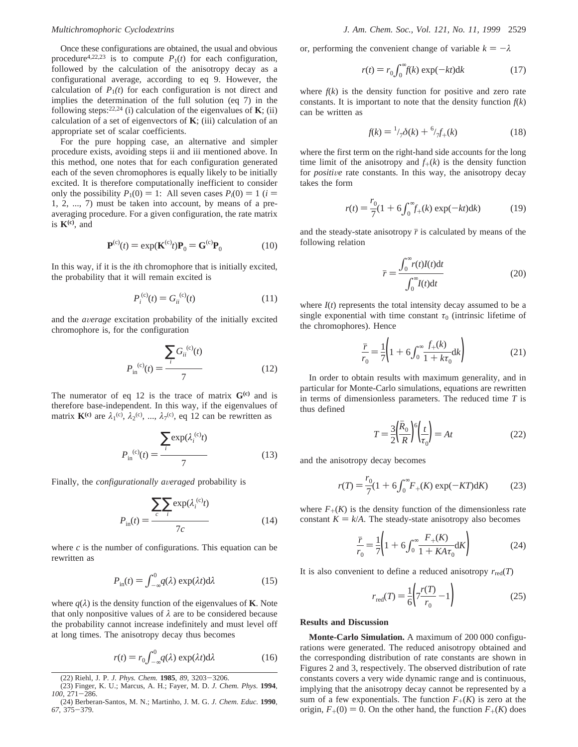Once these configurations are obtained, the usual and obvious procedure<sup>4,22,23</sup> is to compute  $P_1(t)$  for each configuration, followed by the calculation of the anisotropy decay as a configurational average, according to eq 9. However, the calculation of  $P_1(t)$  for each configuration is not direct and implies the determination of the full solution (eq 7) in the following steps:  $22,24$  (i) calculation of the eigenvalues of **K**; (ii) calculation of a set of eigenvectors of **K**; (iii) calculation of an appropriate set of scalar coefficients.

For the pure hopping case, an alternative and simpler procedure exists, avoiding steps ii and iii mentioned above. In this method, one notes that for each configuration generated each of the seven chromophores is equally likely to be initially excited. It is therefore computationally inefficient to consider only the possibility  $P_1(0) = 1$ : All seven cases  $P_i(0) = 1$  (*i* = 1, 2, ..., 7) must be taken into account, by means of a preaveraging procedure. For a given configuration, the rate matrix is  $K^{(c)}$ , and

$$
\mathbf{P}^{(c)}(t) = \exp(\mathbf{K}^{(c)}t)\mathbf{P}_0 = \mathbf{G}^{(c)}\mathbf{P}_0
$$
 (10)

In this way, if it is the *i*th chromophore that is initially excited, the probability that it will remain excited is

$$
P_i^{(c)}(t) = G_{ii}^{(c)}(t) \tag{11}
$$

and the *average* excitation probability of the initially excited chromophore is, for the configuration

$$
P_{\text{in}}^{(c)}(t) = \frac{\sum_{i} G_{ii}^{(c)}(t)}{7}
$$
 (12)

The numerator of eq 12 is the trace of matrix  $\mathbf{G}^{(c)}$  and is therefore base-independent. In this way, if the eigenvalues of matrix  $\mathbf{K}^{(c)}$  are  $\lambda_1^{(c)}$ ,  $\lambda_2^{(c)}$ , ...,  $\lambda_7^{(c)}$ , eq 12 can be rewritten as

$$
P_{\text{in}}^{(c)}(t) = \frac{\sum_{i} \exp(\lambda_i^{(c)} t)}{7}
$$
 (13)

Finally, the *configurationally a*V*eraged* probability is

$$
P_{\text{in}}(t) = \frac{\sum_{c} \sum_{i} \exp(\lambda_i^{(c)} t)}{7c}
$$
 (14)

where  $c$  is the number of configurations. This equation can be rewritten as

$$
P_{\text{in}}(t) = \int_{-\infty}^{0} q(\lambda) \exp(\lambda t) d\lambda \tag{15}
$$

where  $q(\lambda)$  is the density function of the eigenvalues of **K**. Note that only nonpositive values of  $\lambda$  are to be considered because the probability cannot increase indefinitely and must level off at long times. The anisotropy decay thus becomes

$$
r(t) = r_0 \int_{-\infty}^{0} q(\lambda) \exp(\lambda t) d\lambda
$$
 (16)

or, performing the convenient change of variable  $k = -\lambda$ 

$$
r(t) = r_0 \int_0^\infty f(k) \exp(-kt) dk \tag{17}
$$

where  $f(k)$  is the density function for positive and zero rate constants. It is important to note that the density function  $f(k)$ can be written as

$$
f(k) = \frac{1}{7}\delta(k) + \frac{6}{7}f_{+}(k)
$$
 (18)

where the first term on the right-hand side accounts for the long time limit of the anisotropy and  $f_{+}(k)$  is the density function for *positive* rate constants. In this way, the anisotropy decay takes the form

$$
r(t) = \frac{r_0}{7} (1 + 6 \int_0^\infty f_+(k) \exp(-kt) dk)
$$
 (19)

and the steady-state anisotropy  $\bar{r}$  is calculated by means of the following relation

$$
\bar{r} = \frac{\int_0^\infty r(t)I(t)dt}{\int_0^\infty I(t)dt}
$$
\n(20)

where  $I(t)$  represents the total intensity decay assumed to be a single exponential with time constant  $\tau_0$  (intrinsic lifetime of the chromophores). Hence

$$
\frac{\bar{r}}{r_0} = \frac{1}{7} \left( 1 + 6 \int_0^\infty \frac{f_+(k)}{1 + k\tau_0} dk \right) \tag{21}
$$

In order to obtain results with maximum generality, and in particular for Monte-Carlo simulations, equations are rewritten in terms of dimensionless parameters. The reduced time *T* is thus defined

$$
T = \frac{3}{2} \left(\frac{R_0}{R}\right)^6 \left(\frac{t}{\tau_0}\right) = At \tag{22}
$$

and the anisotropy decay becomes

$$
r(T) = \frac{r_0}{7} (1 + 6 \int_0^\infty F_+(K) \exp(-KT) dK)
$$
 (23)

where  $F_{+}(K)$  is the density function of the dimensionless rate constant  $K = k/A$ . The steady-state anisotropy also becomes

$$
\frac{\bar{r}}{r_0} = \frac{1}{7} \left( 1 + 6 \int_0^\infty \frac{F_+(K)}{1 + K A \tau_0} dK \right) \tag{24}
$$

It is also convenient to define a reduced anisotropy  $r_{\text{red}}(T)$ 

$$
r_{\text{red}}(T) = \frac{1}{6} \left( 7 \frac{r(T)}{r_0} - 1 \right) \tag{25}
$$

### **Results and Discussion**

**Monte-Carlo Simulation.** A maximum of 200 000 configurations were generated. The reduced anisotropy obtained and the corresponding distribution of rate constants are shown in Figures 2 and 3, respectively. The observed distribution of rate constants covers a very wide dynamic range and is continuous, implying that the anisotropy decay cannot be represented by a sum of a few exponentials. The function  $F_{+}(K)$  is zero at the origin,  $F_{+}(0) = 0$ . On the other hand, the function  $F_{+}(K)$  does

<sup>(22)</sup> Riehl, J. P. *J. Phys. Chem.* **<sup>1985</sup>**, *<sup>89</sup>*, 3203-3206.

<sup>(23)</sup> Finger, K. U.; Marcus, A. H.; Fayer, M. D. *J. Chem. Phys.* **1994**, *<sup>100</sup>*, 271-286.

<sup>(24)</sup> Berberan-Santos, M. N.; Martinho, J. M. G. *J. Chem. Educ.* **1990**, *<sup>67</sup>*, 375-379.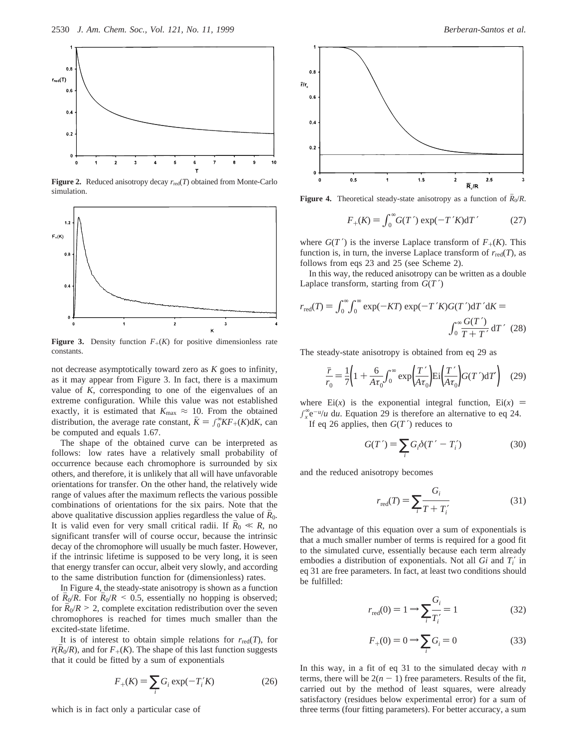

**Figure 2.** Reduced anisotropy decay *r*red(*T*) obtained from Monte-Carlo simulation.



**Figure 3.** Density function  $F+(K)$  for positive dimensionless rate constants.

not decrease asymptotically toward zero as *K* goes to infinity, as it may appear from Figure 3. In fact, there is a maximum value of *K*, corresponding to one of the eigenvalues of an extreme configuration. While this value was not established exactly, it is estimated that  $K_{\text{max}} \approx 10$ . From the obtained distribution, the average rate constant,  $\bar{K} = \int_0^\infty K F_+(K) dK$ , can be computed and equals 1.67 be computed and equals 1.67.

The shape of the obtained curve can be interpreted as follows: low rates have a relatively small probability of occurrence because each chromophore is surrounded by six others, and therefore, it is unlikely that all will have unfavorable orientations for transfer. On the other hand, the relatively wide range of values after the maximum reflects the various possible combinations of orientations for the six pairs. Note that the above qualitative discussion applies regardless the value of  $R_0$ . It is valid even for very small critical radii. If  $\bar{R}_0 \ll R$ , no significant transfer will of course occur, because the intrinsic decay of the chromophore will usually be much faster. However, if the intrinsic lifetime is supposed to be very long, it is seen that energy transfer can occur, albeit very slowly, and according to the same distribution function for (dimensionless) rates.

In Figure 4, the steady-state anisotropy is shown as a function of  $R_0/R$ . For  $R_0/R \le 0.5$ , essentially no hopping is observed; for  $R_0/R > 2$ , complete excitation redistribution over the seven chromophores is reached for times much smaller than the excited-state lifetime.

It is of interest to obtain simple relations for  $r_{\text{red}}(T)$ , for  $\overline{r}(\overline{R}_0/R)$ , and for  $F+(K)$ . The shape of this last function suggests that it could be fitted by a sum of exponentials

$$
F_{+}(K) = \sum_{i} G_i \exp(-T_i'K) \tag{26}
$$

which is in fact only a particular case of



**Figure 4.** Theoretical steady-state anisotropy as a function of  $R_0/R$ .

$$
F_{+}(K) = \int_0^\infty G(T') \exp(-T'K) dT'
$$
 (27)

where  $G(T')$  is the inverse Laplace transform of  $F_{+}(K)$ . This function is, in turn, the inverse Laplace transform of  $r_{\text{red}}(T)$ , as follows from eqs 23 and 25 (see Scheme 2).

In this way, the reduced anisotropy can be written as a double Laplace transform, starting from *G*(*T* ′)

$$
r_{\text{red}}(T) = \int_0^\infty \int_0^\infty \exp(-KT) \exp(-T'K)G(T')\mathrm{d}T'\mathrm{d}K =
$$

$$
\int_0^\infty \frac{G(T')}{T+T'}\mathrm{d}T'\ (28)
$$

The steady-state anisotropy is obtained from eq 29 as

$$
\frac{\bar{r}}{r_0} = \frac{1}{7} \left( 1 + \frac{6}{A\tau_0} \int_0^\infty \exp\left(\frac{T'}{A\tau_0}\right) \mathrm{Ei}\left(\frac{T'}{A\tau_0}\right) G(T') dT' \right) \tag{29}
$$

where  $Ei(x)$  is the exponential integral function,  $Ei(x)$  =  $\int_{x}^{\infty} e^{-u/u} du$ . Equation 29 is therefore an alternative to eq 24.

If eq 26 applies, then  $G(T')$  reduces to

$$
G(T') = \sum_{i} G_i \delta(T' - T'_i) \tag{30}
$$

and the reduced anisotropy becomes

$$
r_{\text{red}}(T) = \sum_{i} \frac{G_i}{T + T'_i} \tag{31}
$$

The advantage of this equation over a sum of exponentials is that a much smaller number of terms is required for a good fit to the simulated curve, essentially because each term already embodies a distribution of exponentials. Not all *Gi* and *Ti*′ in eq 31 are free parameters. In fact, at least two conditions should be fulfilled:

$$
r_{\text{red}}(0) = 1 \to \sum_{i} \frac{G_i}{T'_i} = 1 \tag{32}
$$

$$
F_{+}(0) = 0 \Longrightarrow \sum_{i} G_{i} = 0 \tag{33}
$$

In this way, in a fit of eq 31 to the simulated decay with *n* terms, there will be  $2(n - 1)$  free parameters. Results of the fit, carried out by the method of least squares, were already satisfactory (residues below experimental error) for a sum of three terms (four fitting parameters). For better accuracy, a sum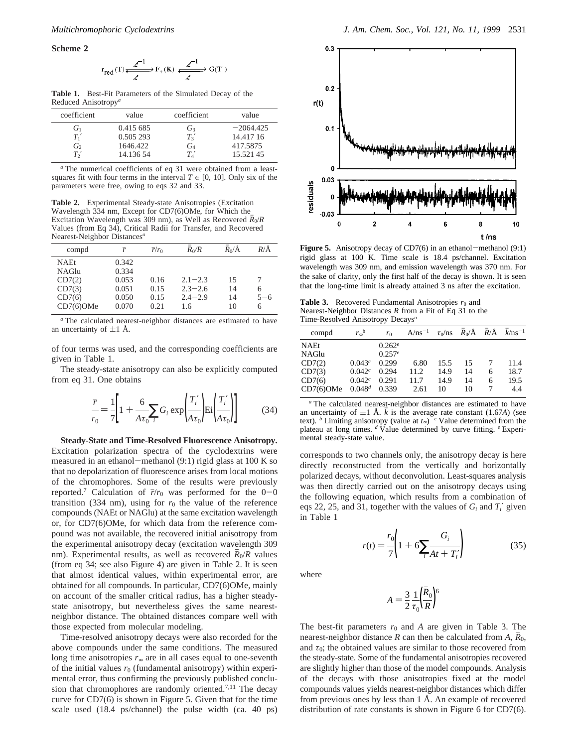**Scheme 2**

$$
r_{\text{red}}(T) \xrightarrow{\mathcal{L}^{-1}} F_{+}(K) \xrightarrow{\mathcal{L}^{-1}} G(T)
$$

**Table 1.** Best-Fit Parameters of the Simulated Decay of the Reduced Anisotropy*<sup>a</sup>*

| coefficient | value     | coefficient | value       |
|-------------|-----------|-------------|-------------|
| $G_1$       | 0.415 685 | $G_3$       | $-2064.425$ |
| $T_1'$      | 0.505 293 | $T_{3}'$    | 14.417.16   |
| $G_2$       | 1646.422  | G1          | 417.5875    |
| T'          | 14.136.54 | $T_A'$      | 15.521 45   |

*<sup>a</sup>* The numerical coefficients of eq 31 were obtained from a leastsquares fit with four terms in the interval  $T \in [0, 10]$ . Only six of the parameters were free, owing to eqs 32 and 33.

**Table 2.** Experimental Steady-state Anisotropies (Excitation Wavelength 334 nm, Except for CD7(6)OMe, for Which the Excitation Wavelength was 309 nm), as Well as Recovered  $\bar{R}_0/R$ Values (from Eq 34), Critical Radii for Transfer, and Recovered Nearest-Neighbor Distances*<sup>a</sup>*

| compd        | r     | $\bar{r}/r_0$ | $R_0/R$     | $R_0/A$ | $R/\AA$ |
|--------------|-------|---------------|-------------|---------|---------|
| <b>NAEt</b>  | 0.342 |               |             |         |         |
| <b>NAGlu</b> | 0.334 |               |             |         |         |
| CD7(2)       | 0.053 | 0.16          | $2.1 - 2.3$ | 15      |         |
| CD7(3)       | 0.051 | 0.15          | $2.3 - 2.6$ | 14      | 6       |
| CD7(6)       | 0.050 | 0.15          | $2.4 - 2.9$ | 14      | $5 - 6$ |
| $CD7(6)$ OMe | 0.070 | 0.21          | 1.6         | 10      | 6       |

*<sup>a</sup>* The calculated nearest-neighbor distances are estimated to have an uncertainty of  $\pm 1$  Å.

of four terms was used, and the corresponding coefficients are given in Table 1.

The steady-state anisotropy can also be explicitly computed from eq 31. One obtains

$$
\frac{\bar{r}}{r_0} = \frac{1}{7} \left[ 1 + \frac{6}{A\tau_0} \sum_i G_i \exp\left(\frac{T_i'}{A\tau_0}\right) \mathrm{Ei}\left(\frac{T_i'}{A\tau_0}\right) \right] \tag{34}
$$

**Steady-State and Time-Resolved Fluorescence Anisotropy.** Excitation polarization spectra of the cyclodextrins were measured in an ethanol-methanol (9:1) rigid glass at 100 K so that no depolarization of fluorescence arises from local motions of the chromophores. Some of the results were previously reported.<sup>7</sup> Calculation of  $\bar{r}/r_0$  was performed for the  $0-0$ transition (334 nm), using for  $r_0$  the value of the reference compounds (NAEt or NAGlu) at the same excitation wavelength or, for CD7(6)OMe, for which data from the reference compound was not available, the recovered initial anisotropy from the experimental anisotropy decay (excitation wavelength 309 nm). Experimental results, as well as recovered  $R_0/R$  values (from eq 34; see also Figure 4) are given in Table 2. It is seen that almost identical values, within experimental error, are obtained for all compounds. In particular, CD7(6)OMe, mainly on account of the smaller critical radius, has a higher steadystate anisotropy, but nevertheless gives the same nearestneighbor distance. The obtained distances compare well with those expected from molecular modeling.

Time-resolved anisotropy decays were also recorded for the above compounds under the same conditions. The measured long time anisotropies *r*<sup>∞</sup> are in all cases equal to one-seventh of the initial values  $r_0$  (fundamental anisotropy) within experimental error, thus confirming the previously published conclusion that chromophores are randomly oriented.<sup>7,11</sup> The decay curve for CD7(6) is shown in Figure 5. Given that for the time scale used (18.4 ps/channel) the pulse width (ca. 40 ps)



**Figure 5.** Anisotropy decay of CD7(6) in an ethanol-methanol (9:1) rigid glass at 100 K. Time scale is 18.4 ps/channel. Excitation wavelength was 309 nm, and emission wavelength was 370 nm. For the sake of clarity, only the first half of the decay is shown. It is seen that the long-time limit is already attained 3 ns after the excitation.

**Table 3.** Recovered Fundamental Anisotropies  $r_0$  and Nearest-Neighbor Distances *R* from a Fit of Eq 31 to the Time-Resolved Anisotropy Decays*<sup>a</sup>*

| compd                                   | $r_{\infty}^{\ b}$                             | $r_0$                            | $A/ns^{-1}$                  | $\tau_0$ /ns               | $R_0/\text{\AA}$ $R/\text{\AA}$ |        | $k$ /ns <sup>-1</sup>       |
|-----------------------------------------|------------------------------------------------|----------------------------------|------------------------------|----------------------------|---------------------------------|--------|-----------------------------|
| NAEt<br>NAGlu                           |                                                | $0.262^{e}$<br>0.257e            |                              |                            |                                 |        |                             |
| CD7(2)<br>CD7(3)<br>CD7(6)<br>CD7(6)OMe | 0.043c<br>$0.042^{c}$<br>0.042c<br>$0.048^{d}$ | 0.299<br>0.294<br>0.291<br>0.339 | 6.80<br>11.2<br>11.7<br>2.61 | 15.5<br>14.9<br>14.9<br>10 | 15<br>14<br>14<br>10            | 6<br>6 | 11.4<br>18.7<br>19.5<br>4.4 |

*<sup>a</sup>* The calculated nearest-neighbor distances are estimated to have an uncertainty of  $\pm 1$  Å. *k* is the average rate constant (1.67*A*) (see text), <sup>*b*</sup> Limiting anisotropy (value at *t*...) <sup>*c*</sup> Value determined from the text). *<sup>b</sup>* Limiting anisotropy (value at *t*∞) *<sup>c</sup>* Value determined from the plateau at long times. *<sup>d</sup>* Value determined by curve fitting. *<sup>e</sup>* Experimental steady-state value.

corresponds to two channels only, the anisotropy decay is here directly reconstructed from the vertically and horizontally polarized decays, without deconvolution. Least-squares analysis was then directly carried out on the anisotropy decays using the following equation, which results from a combination of eqs 22, 25, and 31, together with the values of  $G_i$  and  $T'_i$  given in Table 1

$$
r(t) = \frac{r_0}{7} \left( 1 + 6 \sum_{i} \frac{G_i}{At + T'_i} \right)
$$
 (35)

where

$$
A = \frac{3}{2} \frac{1}{\tau_0} \left(\frac{\bar{R}_0}{R}\right)^6
$$

The best-fit parameters  $r_0$  and  $A$  are given in Table 3. The nearest-neighbor distance *R* can then be calculated from *A*,  $\overline{R}_0$ , and  $\tau_0$ ; the obtained values are similar to those recovered from the steady-state. Some of the fundamental anisotropies recovered are slightly higher than those of the model compounds. Analysis of the decays with those anisotropies fixed at the model compounds values yields nearest-neighbor distances which differ from previous ones by less than 1 Å. An example of recovered distribution of rate constants is shown in Figure 6 for CD7(6).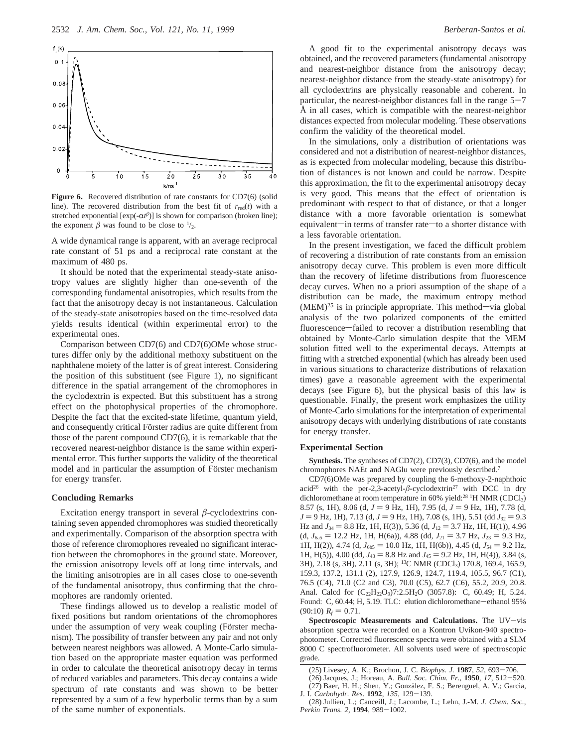

**Figure 6.** Recovered distribution of rate constants for CD7(6) (solid line). The recovered distribution from the best fit of  $r_{\text{red}}(t)$  with a stretched exponential  $[\exp(-\alpha t^{\beta})]$  is shown for comparison (broken line);<br>the exponent  $\beta$  was found to be close to  $\frac{1}{6}$ the exponent  $\beta$  was found to be close to  $\frac{1}{2}$ .

A wide dynamical range is apparent, with an average reciprocal rate constant of 51 ps and a reciprocal rate constant at the maximum of 480 ps.

It should be noted that the experimental steady-state anisotropy values are slightly higher than one-seventh of the corresponding fundamental anisotropies, which results from the fact that the anisotropy decay is not instantaneous. Calculation of the steady-state anisotropies based on the time-resolved data yields results identical (within experimental error) to the experimental ones.

Comparison between CD7(6) and CD7(6)OMe whose structures differ only by the additional methoxy substituent on the naphthalene moiety of the latter is of great interest. Considering the position of this substituent (see Figure 1), no significant difference in the spatial arrangement of the chromophores in the cyclodextrin is expected. But this substituent has a strong effect on the photophysical properties of the chromophore. Despite the fact that the excited-state lifetime, quantum yield, and consequently critical Förster radius are quite different from those of the parent compound CD7(6), it is remarkable that the recovered nearest-neighbor distance is the same within experimental error. This further supports the validity of the theoretical model and in particular the assumption of Förster mechanism for energy transfer.

## **Concluding Remarks**

Excitation energy transport in several *â*-cyclodextrins containing seven appended chromophores was studied theoretically and experimentally. Comparison of the absorption spectra with those of reference chromophores revealed no significant interaction between the chromophores in the ground state. Moreover, the emission anisotropy levels off at long time intervals, and the limiting anisotropies are in all cases close to one-seventh of the fundamental anisotropy, thus confirming that the chromophores are randomly oriented.

These findings allowed us to develop a realistic model of fixed positions but random orientations of the chromophores under the assumption of very weak coupling (Förster mechanism). The possibility of transfer between any pair and not only between nearest neighbors was allowed. A Monte-Carlo simulation based on the appropriate master equation was performed in order to calculate the theoretical anisotropy decay in terms of reduced variables and parameters. This decay contains a wide spectrum of rate constants and was shown to be better represented by a sum of a few hyperbolic terms than by a sum of the same number of exponentials.

A good fit to the experimental anisotropy decays was obtained, and the recovered parameters (fundamental anisotropy and nearest-neighbor distance from the anisotropy decay; nearest-neighbor distance from the steady-state anisotropy) for all cyclodextrins are physically reasonable and coherent. In particular, the nearest-neighbor distances fall in the range  $5-7$ Å in all cases, which is compatible with the nearest-neighbor distances expected from molecular modeling. These observations confirm the validity of the theoretical model.

In the simulations, only a distribution of orientations was considered and not a distribution of nearest-neighbor distances, as is expected from molecular modeling, because this distribution of distances is not known and could be narrow. Despite this approximation, the fit to the experimental anisotropy decay is very good. This means that the effect of orientation is predominant with respect to that of distance, or that a longer distance with a more favorable orientation is somewhat equivalent-in terms of transfer rate-to a shorter distance with a less favorable orientation.

In the present investigation, we faced the difficult problem of recovering a distribution of rate constants from an emission anisotropy decay curve. This problem is even more difficult than the recovery of lifetime distributions from fluorescence decay curves. When no a priori assumption of the shape of a distribution can be made, the maximum entropy method  $(MEM)^{25}$  is in principle appropriate. This method—via global analysis of the two polarized components of the emitted fluorescence—failed to recover a distribution resembling that obtained by Monte-Carlo simulation despite that the MEM solution fitted well to the experimental decays. Attempts at fitting with a stretched exponential (which has already been used in various situations to characterize distributions of relaxation times) gave a reasonable agreement with the experimental decays (see Figure 6), but the physical basis of this law is questionable. Finally, the present work emphasizes the utility of Monte-Carlo simulations for the interpretation of experimental anisotropy decays with underlying distributions of rate constants for energy transfer.

#### **Experimental Section**

**Synthesis.** The syntheses of CD7(2), CD7(3), CD7(6), and the model chromophores NAEt and NAGlu were previously described.7

CD7(6)OMe was prepared by coupling the 6-methoxy-2-naphthoic acid<sup>26</sup> with the per-2,3-acetyl- $\beta$ -cyclodextrin<sup>27</sup> with DCC in dry dichloromethane at room temperature in 60% yield: $^{28}$  <sup>1</sup>H NMR (CDCl<sub>3</sub>) 8.57 (s, 1H), 8.06 (d,  $J = 9$  Hz, 1H), 7.95 (d,  $J = 9$  Hz, 1H), 7.78 (d, *J* = 9 Hz, 1H), 7.13 (d, *J* = 9 Hz, 1H), 7.08 (s, 1H), 5.51 (dd *J*<sub>32</sub> = 9.3 Hz and  $J_{34} = 8.8$  Hz, 1H, H(3)), 5.36 (d,  $J_{12} = 3.7$  Hz, 1H, H(1)), 4.96  $(d, J_{6a5} = 12.2 \text{ Hz}, 1H, H(6a)), 4.88 \text{ (dd, } J_{21} = 3.7 \text{ Hz}, J_{23} = 9.3 \text{ Hz},$ 1H, H(2)), 4.74 (d,  $J_{6b5} = 10.0$  Hz, 1H, H(6b)), 4.45 (d,  $J_{54} = 9.2$  Hz, 1H, H(5)), 4.00 (dd,  $J_{43} = 8.8$  Hz and  $J_{45} = 9.2$  Hz, 1H, H(4)), 3.84 (s, 3H), 2.18 (s, 3H), 2.11 (s, 3H); 13C NMR (CDCl3) 170.8, 169.4, 165.9, 159.3, 137.2, 131.1 (2), 127.9, 126.9, 124.7, 119.4, 105.5, 96.7 (C1), 76.5 (C4), 71.0 (C2 and C3), 70.0 (C5), 62.7 (C6), 55.2, 20.9, 20.8. Anal. Calcd for  $(C_{22}H_{22}O_9)7:2.5H_2O$  (3057.8): C, 60.49; H, 5.24. Found: C, 60.44; H, 5.19. TLC: elution dichloromethane-ethanol 95%  $(90:10)$   $R_f = 0.71$ .

**Spectroscopic Measurements and Calculations.** The UV-vis absorption spectra were recorded on a Kontron Uvikon-940 spectrophotometer. Corrected fluorescence spectra were obtained with a SLM 8000 C spectrofluorometer. All solvents used were of spectroscopic grade.

(28) Jullien, L.; Canceill, J.; Lacombe, L.; Lehn, J.-M. *J. Chem. Soc., Perkin Trans. 2*, **<sup>1994</sup>**, 989-1002.

<sup>(25)</sup> Livesey, A. K.; Brochon, J. C. *Biophys. J.* **<sup>1987</sup>**, *<sup>52</sup>*, 693-706.

<sup>(26)</sup> Jacques, J.; Horeau, A. *Bull. Soc. Chim. Fr.*, **<sup>1950</sup>**, *<sup>17</sup>*, 512-520. (27) Baer, H. H.; Shen, Y.; González, F. S.; Berenguel, A. V.; García,

J. I. *Carbohydr. Res.* **<sup>1992</sup>**, *<sup>135</sup>*, 129-139.